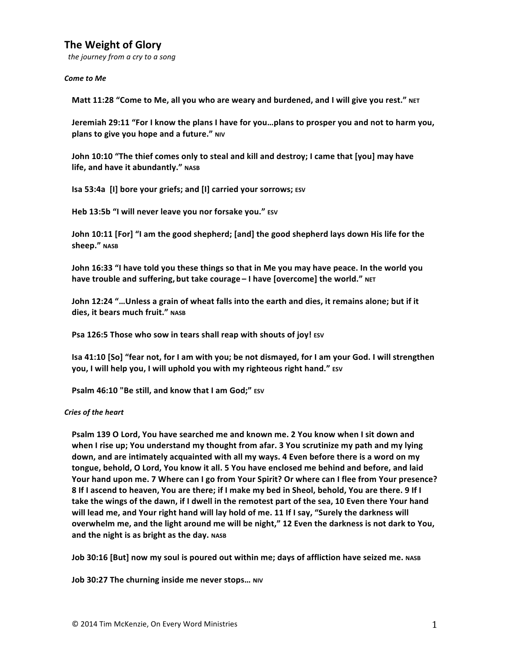# **The Weight of Glory**

 *the journey from a cry to a song*

#### **Come** to Me

Matt 11:28 "Come to Me, all you who are weary and burdened, and I will give you rest." NET

**Jeremiah 29:11 "For I know the plans I have for you...plans to prosper you and not to harm you, plans** to give you hope and a future." NIV

**John 10:10** "The thief comes only to steal and kill and destroy; I came that [you] may have **life, and have it abundantly."** NASB

**Isa 53:4a** [I] bore your griefs; and [I] carried your sorrows; ESV

Heb 13:5b "I will never leave you nor forsake you." ESV

**John 10:11 [For] "I am the good shepherd; [and] the good shepherd lays down His life for the sheep."** NASB

**John 16:33** "I have told you these things so that in Me you may have peace. In the world you **have trouble and suffering, but take courage - I have [overcome] the world."** NET

John 12:24 "...Unless a grain of wheat falls into the earth and dies, it remains alone; but if it dies, it bears much fruit." NASB

**Psa 126:5 Those who sow in tears shall reap with shouts of joy! ESV** 

**Isa 41:10 [So] "fear not, for I am with you; be not dismayed, for I am your God. I will strengthen you, I will help you, I will uphold you with my righteous right hand."** ESV

**Psalm 46:10 "Be still, and know that I am God;"** ESV

## *Cries of the heart*

**Psalm 139 O Lord, You have searched me and known me. 2 You know when I sit down and when I rise up; You understand my thought from afar. 3 You scrutinize my path and my lying** down, and are intimately acquainted with all my ways. 4 Even before there is a word on my **tongue, behold, O Lord, You know it all. 5 You have enclosed me behind and before, and laid**  Your hand upon me. 7 Where can I go from Your Spirit? Or where can I flee from Your presence? **8** If I ascend to heaven, You are there; if I make my bed in Sheol, behold, You are there. 9 If I take the wings of the dawn, if I dwell in the remotest part of the sea, 10 Even there Your hand will lead me, and Your right hand will lay hold of me. 11 If I say, "Surely the darkness will **overwhelm me, and the light around me will be night," 12 Even the darkness is not dark to You,** and the night is as bright as the day. NASB

**Job 30:16 [But] now my soul is poured out within me; days of affliction have seized me. NASB** 

**Job 30:27 The churning inside me never stops... NIV**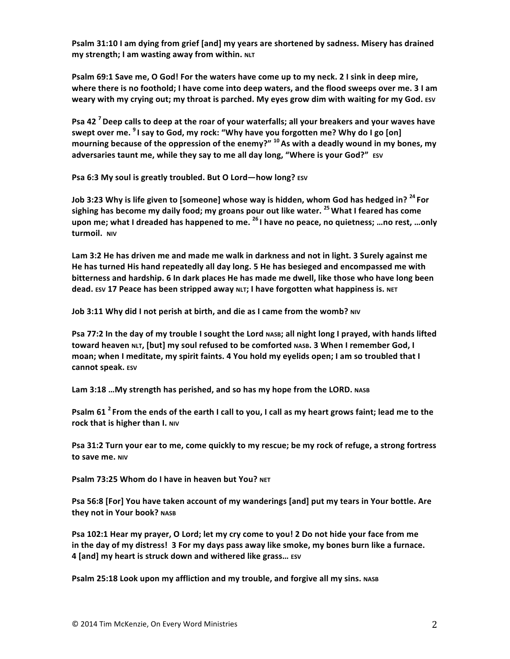**Psalm 31:10 I am dying from grief [and] my years are shortened by sadness. Misery has drained my strength;** I am wasting away from within. NLT

**Psalm 69:1 Save me, O God! For the waters have come up to my neck. 2 I sink in deep mire, where there is no foothold;** I have come into deep waters, and the flood sweeps over me. 3 I am **weary with my crying out; my throat is parched. My eyes grow dim with waiting for my God.** Esv

**Psa 42<sup>7</sup> Deep calls to deep at the roar of your waterfalls; all your breakers and your waves have** swept over me. <sup>9</sup> I say to God, my rock: "Why have you forgotten me? Why do I go [on] mourning because of the oppression of the enemy?" <sup>10</sup> As with a deadly wound in my bones, my adversaries taunt me, while they say to me all day long, "Where is your God?" ESV

**Psa 6:3 My soul is greatly troubled. But O Lord—how long? ESV** 

Job 3:23 Why is life given to [someone] whose way is hidden, whom God has hedged in? <sup>24</sup> For sighing has become my daily food; my groans pour out like water. <sup>25</sup> What I feared has come **upon me;** what I dreaded has happened to me. <sup>26</sup> I have no peace, no quietness; ...no rest, ...only turmoil. NIV

Lam 3:2 He has driven me and made me walk in darkness and not in light. 3 Surely against me He has turned His hand repeatedly all day long. 5 He has besieged and encompassed me with **bitterness and hardship. 6** In dark places He has made me dwell, like those who have long been **dead.** ESV 17 Peace has been stripped away NLT; I have forgotten what happiness is. NET

**Job 3:11 Why did I not perish at birth, and die as I came from the womb?** NIV

**Psa 77:2** In the day of my trouble I sought the Lord NASB; all night long I prayed, with hands lifted toward heaven NLT, [but] my soul refused to be comforted NASB. 3 When I remember God, I **moan;** when I meditate, my spirit faints. 4 You hold my eyelids open; I am so troubled that I **cannot speak.** ESV

Lam 3:18 ... My strength has perished, and so has my hope from the LORD. NASB

**Psalm 61<sup>2</sup> From the ends of the earth I call to you, I call as my heart grows faint; lead me to the rock** that is higher than I. NIV

**Psa 31:2 Turn your ear to me, come quickly to my rescue; be my rock of refuge, a strong fortress to save me. NIV** 

**Psalm 73:25 Whom do I have in heaven but You? NET** 

Psa 56:8 [For] You have taken account of my wanderings [and] put my tears in Your bottle. Are they not in Your book? NASB

**Psa 102:1 Hear my prayer, O Lord; let my cry come to you! 2 Do not hide your face from me** in the day of my distress! 3 For my days pass away like smoke, my bones burn like a furnace. **4 [and] my heart is struck down and withered like grass… ESV**

**Psalm 25:18 Look upon my affliction and my trouble, and forgive all my sins. NASB**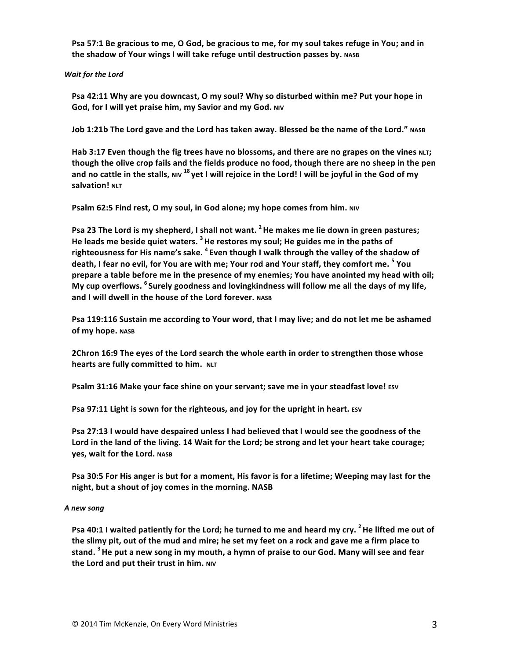**Psa 57:1 Be gracious to me, O God, be gracious to me, for my soul takes refuge in You; and in** the shadow of Your wings I will take refuge until destruction passes by. NASB

*Wait for the Lord*

Psa 42:11 Why are you downcast, O my soul? Why so disturbed within me? Put your hope in **God, for I will yet praise him, my Savior and my God. NIV** 

**Job 1:21b The Lord gave and the Lord has taken away. Blessed be the name of the Lord."** NASB

Hab 3:17 Even though the fig trees have no blossoms, and there are no grapes on the vines NLT; though the olive crop fails and the fields produce no food, though there are no sheep in the pen and no cattle in the stalls, NIV <sup>18</sup> yet I will rejoice in the Lord! I will be joyful in the God of my **salvation!** NLT

**Psalm 62:5 Find rest, O my soul, in God alone; my hope comes from him. NIV** 

**Psa 23** The Lord is my shepherd, I shall not want. <sup>2</sup> He makes me lie down in green pastures; He leads me beside quiet waters. <sup>3</sup> He restores my soul; He guides me in the paths of righteousness for His name's sake. <sup>4</sup> Even though I walk through the valley of the shadow of death, I fear no evil, for You are with me; Your rod and Your staff, they comfort me. <sup>5</sup> You prepare a table before me in the presence of my enemies; You have anointed my head with oil; **My** cup overflows. <sup>6</sup> Surely goodness and lovingkindness will follow me all the days of my life, **and I will dwell in the house of the Lord forever.** NASB

Psa 119:116 Sustain me according to Your word, that I may live; and do not let me be ashamed **of my hope.** NASB

**2Chron 16:9** The eyes of the Lord search the whole earth in order to strengthen those whose **hearts are fully committed to him.** NLT

**Psalm 31:16 Make your face shine on your servant; save me in your steadfast love! ESV** 

**Psa 97:11 Light is sown for the righteous, and joy for the upright in heart.** ESV

**Psa 27:13 I would have despaired unless I had believed that I would see the goodness of the** Lord in the land of the living. 14 Wait for the Lord; be strong and let your heart take courage; **yes, wait for the Lord.** NASB

**Psa 30:5 For His anger is but for a moment, His favor is for a lifetime; Weeping may last for the night, but a shout of joy comes in the morning. NASB** 

## *A new song*

**Psa 40:1** I waited patiently for the Lord; he turned to me and heard my cry. <sup>2</sup> He lifted me out of **the slimy pit, out of the mud and mire; he set my feet on a rock and gave me a firm place to** stand. <sup>3</sup> He put a new song in my mouth, a hymn of praise to our God. Many will see and fear **the Lord and put their trust in him.** NIV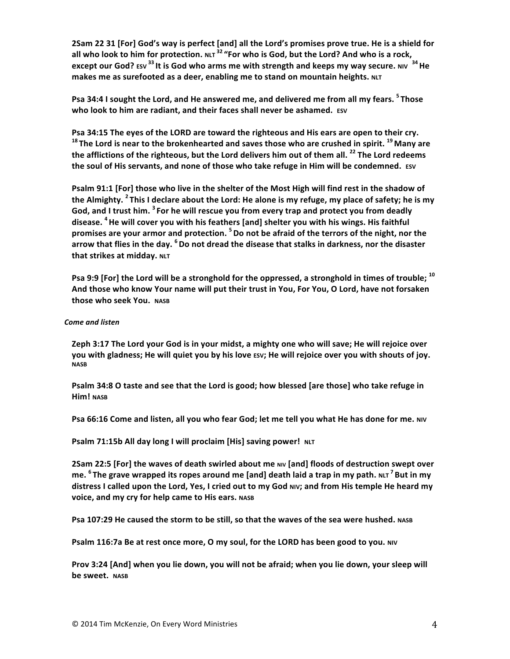**2Sam 22 31 [For] God's way is perfect [and] all the Lord's promises prove true. He is a shield for** all who look to him for protection. NLT<sup>32</sup> "For who is God, but the Lord? And who is a rock, **except our God?** Esv <sup>33</sup> It is God who arms me with strength and keeps my way secure. NIV  $^{34}$  He **makes me as surefooted as a deer, enabling me to stand on mountain heights. NLT** 

Psa 34:4 I sought the Lord, and He answered me, and delivered me from all my fears. <sup>5</sup> Those **who look to him are radiant, and their faces shall never be ashamed.** ESV

Psa 34:15 The eyes of the LORD are toward the righteous and His ears are open to their cry. <sup>18</sup> The Lord is near to the brokenhearted and saves those who are crushed in spirit. <sup>19</sup> Many are the afflictions of the righteous, but the Lord delivers him out of them all.<sup>22</sup> The Lord redeems the soul of His servants, and none of those who take refuge in Him will be condemned. Esv

**Psalm 91:1 [For] those who live in the shelter of the Most High will find rest in the shadow of** the Almighty. <sup>2</sup> This I declare about the Lord: He alone is my refuge, my place of safety; he is my God, and I trust him. <sup>3</sup> For he will rescue you from every trap and protect you from deadly disease. <sup>4</sup> He will cover you with his feathers [and] shelter you with his wings. His faithful promises are your armor and protection. <sup>5</sup> Do not be afraid of the terrors of the night, nor the arrow that flies in the day. <sup>6</sup> Do not dread the disease that stalks in darkness, nor the disaster **that strikes at midday.** NLT

**Psa 9:9 [For] the Lord will be a stronghold for the oppressed, a stronghold in times of trouble; <sup>10</sup>** And those who know Your name will put their trust in You, For You, O Lord, have not forsaken **those who seek You.** NASB

#### *Come and listen*

**Zeph 3:17** The Lord your God is in your midst, a mighty one who will save; He will rejoice over **you** with gladness; He will quiet you by his love *ESV*; He will rejoice over you with shouts of joy. **NASB**

**Psalm 34:8 O taste and see that the Lord is good; how blessed [are those] who take refuge in Him!** NASB

**Psa 66:16 Come and listen, all you who fear God; let me tell you what He has done for me. NIV** 

**Psalm 71:15b All day long I will proclaim [His] saving power! NLT** 

**2Sam 22:5 [For] the waves of death swirled about me NIV [and] floods of destruction swept over me.** <sup>6</sup> The grave wrapped its ropes around me [and] death laid a trap in my path. NLT<sup>7</sup> But in my distress I called upon the Lord, Yes, I cried out to my God NIV; and from His temple He heard my **voice, and my cry for help came to His ears.** NASB

**Psa 107:29 He caused the storm to be still, so that the waves of the sea were hushed.** NASB

**Psalm 116:7a Be at rest once more, O my soul, for the LORD has been good to you.** NIV

**Prov 3:24 [And] when you lie down, you will not be afraid; when you lie down, your sleep will be sweet.** NASB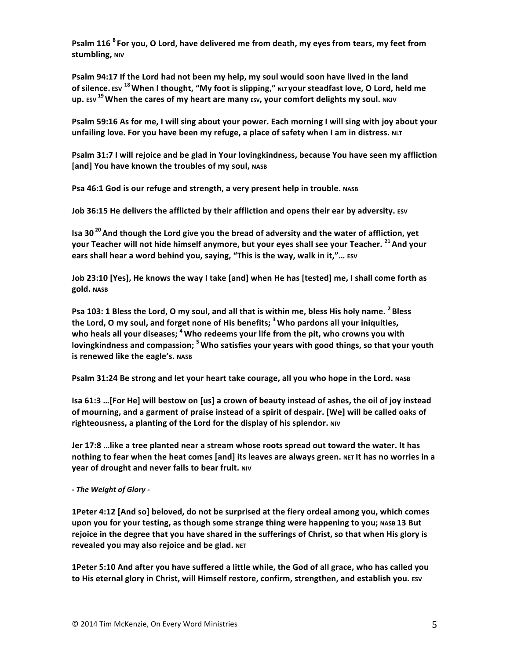**Psalm 116** <sup>8</sup> For you, O Lord, have delivered me from death, my eyes from tears, my feet from **stumbling, NIV** 

**Psalm 94:17 If the Lord had not been my help, my soul would soon have lived in the land** of silence. **ESV** <sup>18</sup> When I thought, "My foot is slipping," NLT your steadfast love, O Lord, held me **up.** ESV <sup>19</sup> When the cares of my heart are many ESV, your comfort delights my soul. NKJV

**Psalm 59:16 As for me, I will sing about your power. Each morning I will sing with joy about your** unfailing love. For you have been my refuge, a place of safety when I am in distress. NLT

**Psalm 31:7 I will rejoice and be glad in Your lovingkindness, because You have seen my affliction [and] You have known the troubles of my soul, NASB** 

**Psa 46:1 God is our refuge and strength, a very present help in trouble.** NASB

**Job 36:15 He delivers the afflicted by their affliction and opens their ear by adversity.** ESV

**Isa 30**<sup>20</sup> And though the Lord give you the bread of adversity and the water of affliction, yet **your Teacher will not hide himself anymore, but your eyes shall see your Teacher.** <sup>21</sup> And your **ears shall hear a word behind you, saying, "This is the way, walk in it,"... ESV** 

**Job 23:10** [Yes], He knows the way I take [and] when He has [tested] me, I shall come forth as **gold. NASB**

**Psa 103: 1 Bless the Lord, O my soul, and all that is within me, bless His holy name. <sup>2</sup> Bless the Lord, O my soul, and forget none of His benefits; <sup>3</sup> Who pardons all your iniquities,** who heals all your diseases; <sup>4</sup> Who redeems your life from the pit, who crowns you with lovingkindness and compassion; <sup>5</sup> Who satisfies your years with good things, so that your youth **is** renewed like the eagle's. NASB

**Psalm 31:24 Be strong and let your heart take courage, all you who hope in the Lord. NASB** 

Isa 61:3 …[For He] will bestow on [us] a crown of beauty instead of ashes, the oil of joy instead of mourning, and a garment of praise instead of a spirit of despair. [We] will be called oaks of righteousness, a planting of the Lord for the display of his splendor. NIV

**Jer 17:8** …like a tree planted near a stream whose roots spread out toward the water. It has nothing to fear when the heat comes [and] its leaves are always green. NET It has no worries in a **year of drought and never fails to bear fruit.** NIV

*- The Weight of Glory -*

**1Peter 4:12 [And so] beloved, do not be surprised at the fiery ordeal among you, which comes** upon you for your testing, as though some strange thing were happening to you; NASB 13 But rejoice in the degree that you have shared in the sufferings of Christ, so that when His glory is **revealed you may also rejoice and be glad. NET** 

**1Peter 5:10 And after you have suffered a little while, the God of all grace, who has called you** to His eternal glory in Christ, will Himself restore, confirm, strengthen, and establish you. Esv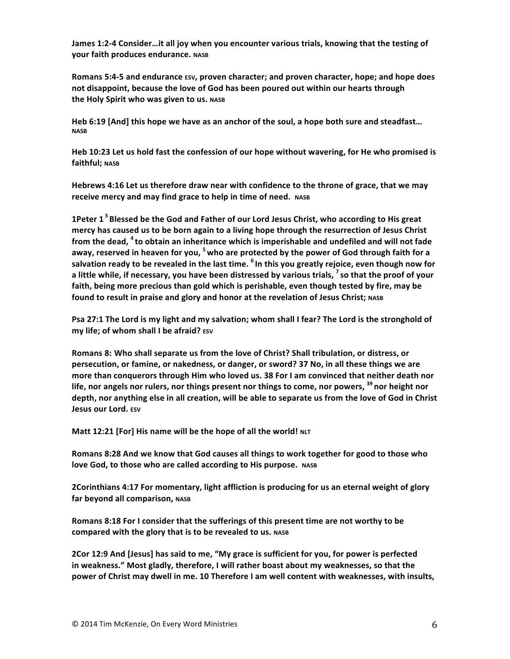James 1:2-4 Consider…it all joy when you encounter various trials, knowing that the testing of **your faith produces endurance. NASB**

Romans 5:4-5 and endurance  $ESV$ , proven character; and proven character, hope; and hope does not disappoint, because the love of God has been poured out within our hearts through the Holy Spirit who was given to us. NASB

**Heb** 6:19 [And] this hope we have as an anchor of the soul, a hope both sure and steadfast... **NASB**

Heb 10:23 Let us hold fast the confession of our hope without wavering, for He who promised is faithful; NASB

Hebrews 4:16 Let us therefore draw near with confidence to the throne of grace, that we may **receive mercy and may find grace to help in time of need.** NASB

**1Peter 1<sup>3</sup> Blessed be the God and Father of our Lord Jesus Christ, who according to His great mercy** has caused us to be born again to a living hope through the resurrection of Jesus Christ **from the dead, <sup>4</sup> to obtain an inheritance which is imperishable and undefiled and will not fade** away, reserved in heaven for you, <sup>5</sup> who are protected by the power of God through faith for a salvation ready to be revealed in the last time. <sup>6</sup> In this you greatly rejoice, even though now for **a** little while, if necessary, you have been distressed by various trials, <sup>7</sup> so that the proof of your faith, being more precious than gold which is perishable, even though tested by fire, may be found to result in praise and glory and honor at the revelation of Jesus Christ; NASB

**Psa 27:1 The Lord is my light and my salvation; whom shall I fear? The Lord is the stronghold of my** life; of whom shall I be afraid? ESV

Romans 8: Who shall separate us from the love of Christ? Shall tribulation, or distress, or **persecution, or famine, or nakedness, or danger, or sword? 37 No, in all these things we are** more than conquerors through Him who loved us. 38 For I am convinced that neither death nor life, nor angels nor rulers, nor things present nor things to come, nor powers, <sup>39</sup> nor height nor depth, nor anything else in all creation, will be able to separate us from the love of God in Christ **Jesus our Lord. ESV** 

**Matt 12:21 [For] His name will be the hope of all the world! NLT** 

**Romans 8:28** And we know that God causes all things to work together for good to those who **love God, to those who are called according to His purpose.** NASB

**2Corinthians 4:17 For momentary, light affliction is producing for us an eternal weight of glory far beyond all comparison, NASB** 

Romans 8:18 For I consider that the sufferings of this present time are not worthy to be **compared with the glory that is to be revealed to us.** NASB

**2Cor 12:9** And [Jesus] has said to me, "My grace is sufficient for you, for power is perfected in weakness." Most gladly, therefore, I will rather boast about my weaknesses, so that the power of Christ may dwell in me. 10 Therefore I am well content with weaknesses, with insults,